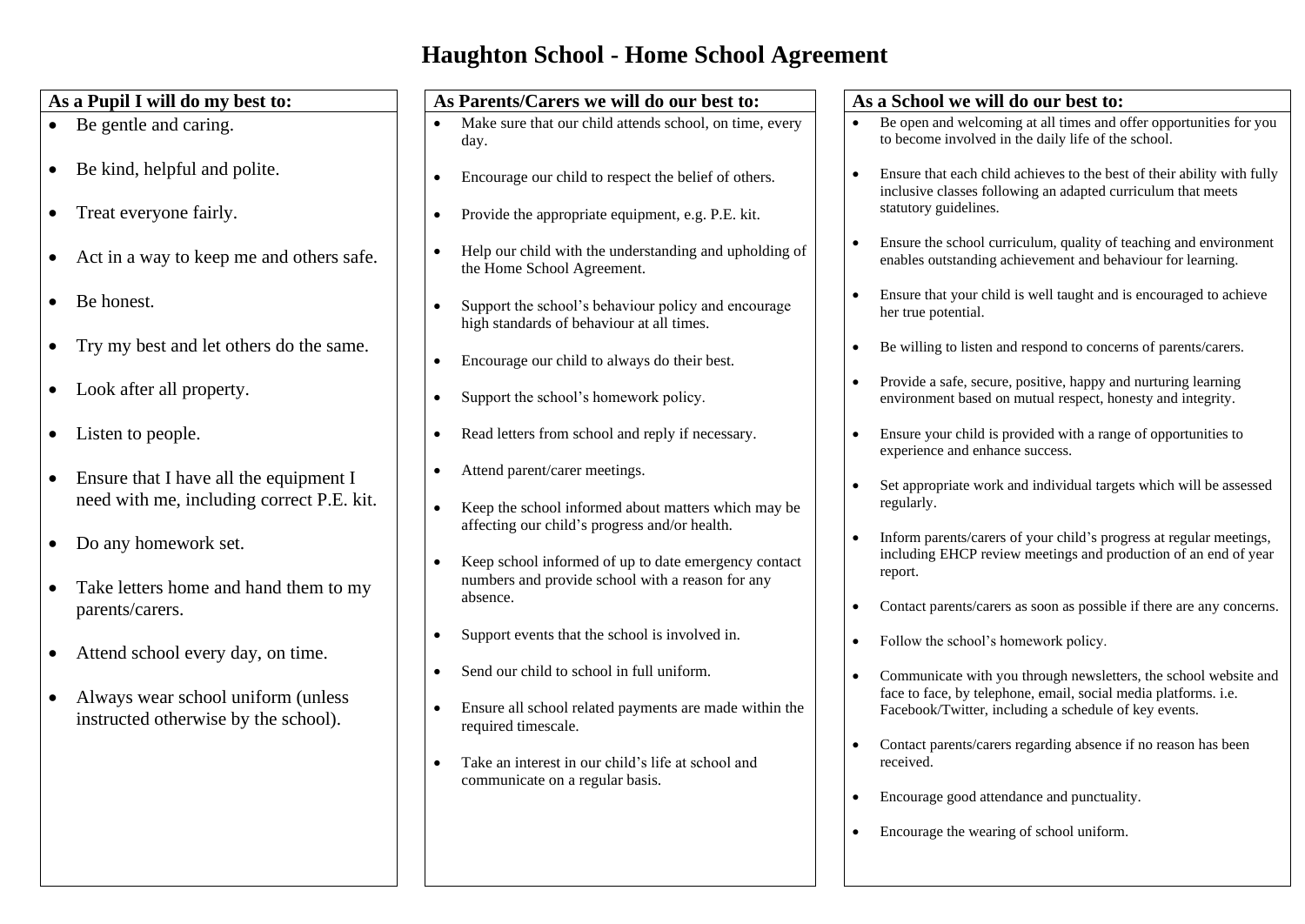# **Haughton School - Home School Agreement**

| As a Pupil I will do my best to:                                                                                                          | As Parents/Carers we will do our best to:<br>As a School we will do our best to:                                                                                                                                                                                                                                           |
|-------------------------------------------------------------------------------------------------------------------------------------------|----------------------------------------------------------------------------------------------------------------------------------------------------------------------------------------------------------------------------------------------------------------------------------------------------------------------------|
| • Be gentle and caring.                                                                                                                   | Be open and welcoming at all times and offer opportunities for you<br>Make sure that our child attends school, on time, every<br>to become involved in the daily life of the school.<br>day.                                                                                                                               |
| • Be kind, helpful and polite.                                                                                                            | Ensure that each child achieves to the best of their ability with fully<br>Encourage our child to respect the belief of others.<br>inclusive classes following an adapted curriculum that meets                                                                                                                            |
| Treat everyone fairly.<br>$\bullet$                                                                                                       | statutory guidelines.<br>Provide the appropriate equipment, e.g. P.E. kit.                                                                                                                                                                                                                                                 |
| Act in a way to keep me and others safe.<br>$\bullet$                                                                                     | Ensure the school curriculum, quality of teaching and environment<br>Help our child with the understanding and upholding of<br>enables outstanding achievement and behaviour for learning.<br>the Home School Agreement.                                                                                                   |
| Be honest.<br>$\bullet$                                                                                                                   | Ensure that your child is well taught and is encouraged to achieve<br>Support the school's behaviour policy and encourage<br>her true potential.<br>high standards of behaviour at all times.                                                                                                                              |
| Try my best and let others do the same.<br>$\bullet$                                                                                      | Be willing to listen and respond to concerns of parents/carers.<br>Encourage our child to always do their best.<br>$\bullet$                                                                                                                                                                                               |
| • Look after all property.                                                                                                                | Provide a safe, secure, positive, happy and nurturing learning<br>Support the school's homework policy.<br>environment based on mutual respect, honesty and integrity.<br>$\bullet$                                                                                                                                        |
| Listen to people.<br>$\bullet$                                                                                                            | Ensure your child is provided with a range of opportunities to<br>Read letters from school and reply if necessary.<br>$\bullet$<br>experience and enhance success.                                                                                                                                                         |
| Ensure that I have all the equipment I<br>$\bullet$<br>need with me, including correct P.E. kit.                                          | Attend parent/carer meetings.<br>$\bullet$<br>Set appropriate work and individual targets which will be assessed<br>regularly.<br>Keep the school informed about matters which may be                                                                                                                                      |
| Do any homework set.<br>$\bullet$<br>Take letters home and hand them to my                                                                | affecting our child's progress and/or health.<br>Inform parents/carers of your child's progress at regular meetings,<br>including EHCP review meetings and production of an end of year<br>Keep school informed of up to date emergency contact<br>report.<br>numbers and provide school with a reason for any             |
| parents/carers.                                                                                                                           | absence.<br>Contact parents/carers as soon as possible if there are any concerns.<br>$\bullet$                                                                                                                                                                                                                             |
| Attend school every day, on time.<br>$\bullet$<br>Always wear school uniform (unless<br>$\bullet$<br>instructed otherwise by the school). | Support events that the school is involved in.<br>$\bullet$<br>Follow the school's homework policy.                                                                                                                                                                                                                        |
|                                                                                                                                           | Send our child to school in full uniform.<br>Communicate with you through newsletters, the school website and<br>face to face, by telephone, email, social media platforms. i.e.<br>Ensure all school related payments are made within the<br>Facebook/Twitter, including a schedule of key events.<br>required timescale. |
|                                                                                                                                           | Contact parents/carers regarding absence if no reason has been<br>Take an interest in our child's life at school and<br>received.<br>communicate on a regular basis.                                                                                                                                                       |
|                                                                                                                                           | Encourage good attendance and punctuality.                                                                                                                                                                                                                                                                                 |
|                                                                                                                                           | Encourage the wearing of school uniform.                                                                                                                                                                                                                                                                                   |